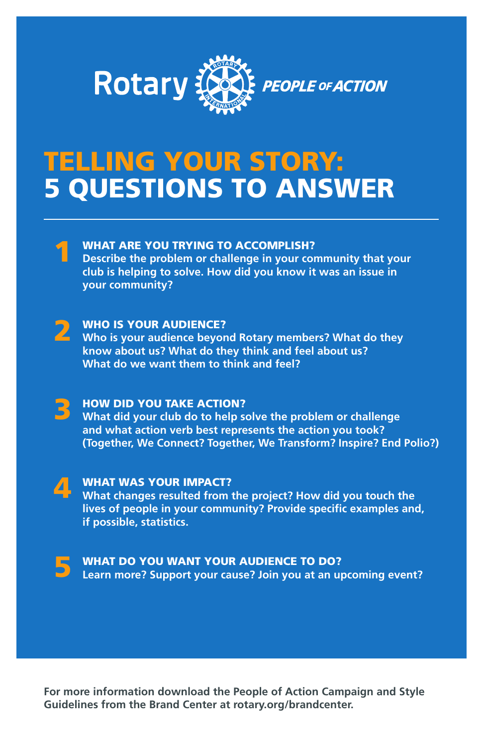

## TELLING YOUR STORY: 5 QUESTIONS TO ANSWER

## WHAT ARE YOU TRYING TO ACCOMPLISH? 1

**Describe the problem or challenge in your community that your club is helping to solve. How did you know it was an issue in your community?** 

WHO IS YOUR AUDIENCE? **Who is your audience beyond Rotary members? What do they know about us? What do they think and feel about us? What do we want them to think and feel?**  2

HOW DID YOU TAKE ACTION? **What did your club do to help solve the problem or challenge and what action verb best represents the action you took? (Together, We Connect? Together, We Transform? Inspire? End Polio?)** 3

WHAT WAS YOUR IMPACT? **What changes resulted from the project? How did you touch the lives of people in your community? Provide specific examples and, if possible, statistics.**  $\sqrt{1}$ 



WHAT DO YOU WANT YOUR AUDIENCE TO DO? **Learn more? Support your cause? Join you at an upcoming event?**

**For more information download the People of Action Campaign and Style Guidelines from the Brand Center at rotary.org/brandcenter.**